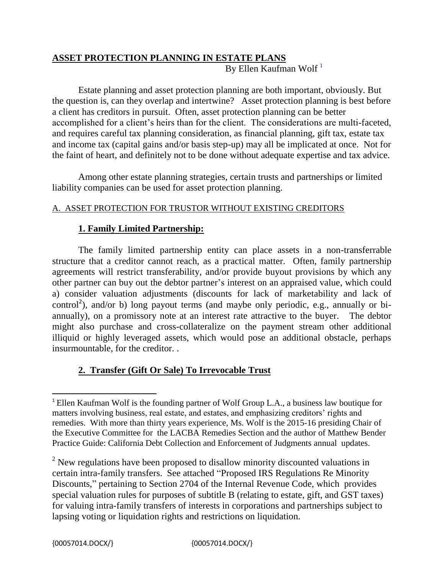# **ASSET PROTECTION PLANNING IN ESTATE PLANS** By Ellen Kaufman Wolf<sup>1</sup>

Estate planning and asset protection planning are both important, obviously. But the question is, can they overlap and intertwine? Asset protection planning is best before a client has creditors in pursuit. Often, asset protection planning can be better accomplished for a client's heirs than for the client. The considerations are multi-faceted, and requires careful tax planning consideration, as financial planning, gift tax, estate tax and income tax (capital gains and/or basis step-up) may all be implicated at once. Not for the faint of heart, and definitely not to be done without adequate expertise and tax advice.

Among other estate planning strategies, certain trusts and partnerships or limited liability companies can be used for asset protection planning.

### A. ASSET PROTECTION FOR TRUSTOR WITHOUT EXISTING CREDITORS

## **1. Family Limited Partnership:**

The family limited partnership entity can place assets in a non-transferrable structure that a creditor cannot reach, as a practical matter. Often, family partnership agreements will restrict transferability, and/or provide buyout provisions by which any other partner can buy out the debtor partner's interest on an appraised value, which could a) consider valuation adjustments (discounts for lack of marketability and lack of control<sup>2</sup>), and/or b) long payout terms (and maybe only periodic, e.g., annually or biannually), on a promissory note at an interest rate attractive to the buyer. The debtor might also purchase and cross-collateralize on the payment stream other additional illiquid or highly leveraged assets, which would pose an additional obstacle, perhaps insurmountable, for the creditor. .

## **2. Transfer (Gift Or Sale) To Irrevocable Trust**

 $\overline{\phantom{a}}$ <sup>1</sup> Ellen Kaufman Wolf is the founding partner of Wolf Group L.A., a business law boutique for matters involving business, real estate, and estates, and emphasizing creditors' rights and remedies. With more than thirty years experience, Ms. Wolf is the 2015-16 presiding Chair of the Executive Committee for the LACBA Remedies Section and the author of Matthew Bender Practice Guide: California Debt Collection and Enforcement of Judgments annual updates.

<sup>&</sup>lt;sup>2</sup> New regulations have been proposed to disallow minority discounted valuations in certain intra-family transfers. See attached "Proposed IRS Regulations Re Minority Discounts," pertaining to Section 2704 of the Internal Revenue Code, which provides special valuation rules for purposes of subtitle B (relating to estate, gift, and GST taxes) for valuing intra-family transfers of interests in corporations and partnerships subject to lapsing voting or liquidation rights and restrictions on liquidation.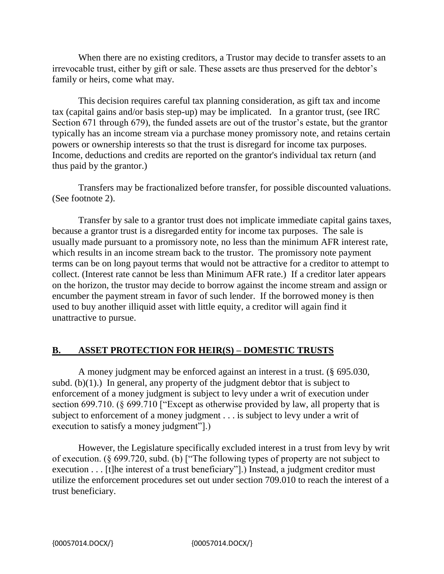When there are no existing creditors, a Trustor may decide to transfer assets to an irrevocable trust, either by gift or sale. These assets are thus preserved for the debtor's family or heirs, come what may.

This decision requires careful tax planning consideration, as gift tax and income tax (capital gains and/or basis step-up) may be implicated. In a grantor trust, (see IRC Section 671 through 679), the funded assets are out of the trustor's estate, but the grantor typically has an income stream via a purchase money promissory note, and retains certain powers or ownership interests so that the trust is disregard for income tax purposes. Income, deductions and credits are reported on the grantor's individual tax return (and thus paid by the grantor.)

Transfers may be fractionalized before transfer, for possible discounted valuations. (See footnote 2).

Transfer by sale to a grantor trust does not implicate immediate capital gains taxes, because a grantor trust is a disregarded entity for income tax purposes. The sale is usually made pursuant to a promissory note, no less than the minimum AFR interest rate, which results in an income stream back to the trustor. The promissory note payment terms can be on long payout terms that would not be attractive for a creditor to attempt to collect. (Interest rate cannot be less than Minimum AFR rate.) If a creditor later appears on the horizon, the trustor may decide to borrow against the income stream and assign or encumber the payment stream in favor of such lender. If the borrowed money is then used to buy another illiquid asset with little equity, a creditor will again find it unattractive to pursue.

### **B. ASSET PROTECTION FOR HEIR(S) – DOMESTIC TRUSTS**

A money judgment may be enforced against an interest in a trust. (§ 695.030, subd. (b) $(1)$ .) In general, any property of the judgment debtor that is subject to enforcement of a money judgment is subject to levy under a writ of execution under section 699.710. (§ 699.710 ["Except as otherwise provided by law, all property that is subject to enforcement of a money judgment . . . is subject to levy under a writ of execution to satisfy a money judgment"].)

However, the Legislature specifically excluded interest in a trust from levy by writ of execution. (§ 699.720, subd. (b) ["The following types of property are not subject to execution . . . [t]he interest of a trust beneficiary"].) Instead, a judgment creditor must utilize the enforcement procedures set out under section 709.010 to reach the interest of a trust beneficiary.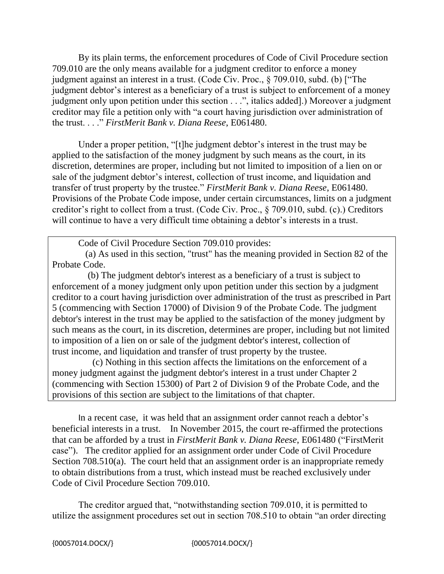By its plain terms, the enforcement procedures of Code of Civil Procedure section 709.010 are the only means available for a judgment creditor to enforce a money judgment against an interest in a trust. (Code Civ. Proc., § 709.010, subd. (b) ["The judgment debtor's interest as a beneficiary of a trust is subject to enforcement of a money judgment only upon petition under this section . . .", italics added].) Moreover a judgment creditor may file a petition only with "a court having jurisdiction over administration of the trust. . . ." *FirstMerit Bank v. Diana Reese*, E061480.

Under a proper petition, "[t]he judgment debtor's interest in the trust may be applied to the satisfaction of the money judgment by such means as the court, in its discretion, determines are proper, including but not limited to imposition of a lien on or sale of the judgment debtor's interest, collection of trust income, and liquidation and transfer of trust property by the trustee." *FirstMerit Bank v. Diana Reese*, E061480. Provisions of the Probate Code impose, under certain circumstances, limits on a judgment creditor's right to collect from a trust. (Code Civ. Proc., § 709.010, subd. (c).) Creditors will continue to have a very difficult time obtaining a debtor's interests in a trust.

Code of Civil Procedure Section 709.010 provides:

(a) As used in this section, "trust" has the meaning provided in Section 82 of the Probate Code.

(b) The judgment debtor's interest as a beneficiary of a trust is subject to enforcement of a money judgment only upon petition under this section by a judgment creditor to a court having jurisdiction over administration of the trust as prescribed in Part 5 (commencing with Section 17000) of Division 9 of the Probate Code. The judgment debtor's interest in the trust may be applied to the satisfaction of the money judgment by such means as the court, in its discretion, determines are proper, including but not limited to imposition of a lien on or sale of the judgment debtor's interest, collection of trust income, and liquidation and transfer of trust property by the trustee.

 (c) Nothing in this section affects the limitations on the enforcement of a money judgment against the judgment debtor's interest in a trust under Chapter 2 (commencing with Section 15300) of Part 2 of Division 9 of the Probate Code, and the provisions of this section are subject to the limitations of that chapter.

In a recent case, it was held that an assignment order cannot reach a debtor's beneficial interests in a trust. In November 2015, the court re-affirmed the protections that can be afforded by a trust in *FirstMerit Bank v. Diana Reese*, E061480 ("FirstMerit case"). The creditor applied for an assignment order under Code of Civil Procedure Section 708.510(a). The court held that an assignment order is an inappropriate remedy to obtain distributions from a trust, which instead must be reached exclusively under Code of Civil Procedure Section 709.010.

The creditor argued that, "notwithstanding section 709.010, it is permitted to utilize the assignment procedures set out in section 708.510 to obtain "an order directing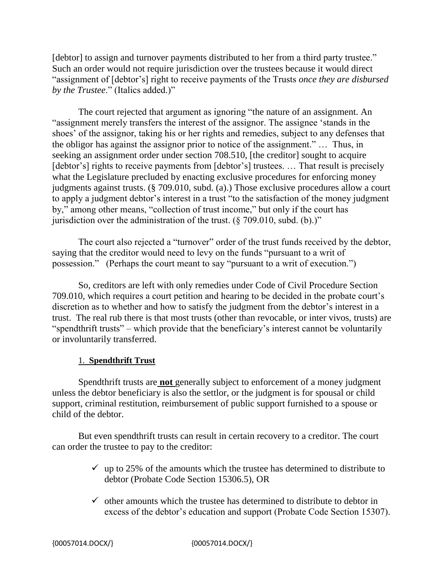[debtor] to assign and turnover payments distributed to her from a third party trustee." Such an order would not require jurisdiction over the trustees because it would direct "assignment of [debtor's] right to receive payments of the Trusts *once they are disbursed by the Trustee*." (Italics added.)"

The court rejected that argument as ignoring "the nature of an assignment. An "assignment merely transfers the interest of the assignor. The assignee 'stands in the shoes' of the assignor, taking his or her rights and remedies, subject to any defenses that the obligor has against the assignor prior to notice of the assignment." … Thus, in seeking an assignment order under section 708.510, [the creditor] sought to acquire [debtor's] rights to receive payments from [debtor's] trustees. ... That result is precisely what the Legislature precluded by enacting exclusive procedures for enforcing money judgments against trusts. (§ 709.010, subd. (a).) Those exclusive procedures allow a court to apply a judgment debtor's interest in a trust "to the satisfaction of the money judgment by," among other means, "collection of trust income," but only if the court has jurisdiction over the administration of the trust.  $(\frac{6}{209.010}, \frac{1}{100.01})$ "

The court also rejected a "turnover" order of the trust funds received by the debtor, saying that the creditor would need to levy on the funds "pursuant to a writ of possession." (Perhaps the court meant to say "pursuant to a writ of execution.")

So, creditors are left with only remedies under Code of Civil Procedure Section 709.010, which requires a court petition and hearing to be decided in the probate court's discretion as to whether and how to satisfy the judgment from the debtor's interest in a trust. The real rub there is that most trusts (other than revocable, or inter vivos, trusts) are "spendthrift trusts" – which provide that the beneficiary's interest cannot be voluntarily or involuntarily transferred.

### 1. **Spendthrift Trust**

Spendthrift trusts are **not** generally subject to enforcement of a money judgment unless the debtor beneficiary is also the settlor, or the judgment is for spousal or child support, criminal restitution, reimbursement of public support furnished to a spouse or child of the debtor.

But even spendthrift trusts can result in certain recovery to a creditor. The court can order the trustee to pay to the creditor:

- $\checkmark$  up to 25% of the amounts which the trustee has determined to distribute to debtor (Probate Code Section 15306.5), OR
- $\checkmark$  other amounts which the trustee has determined to distribute to debtor in excess of the debtor's education and support (Probate Code Section 15307).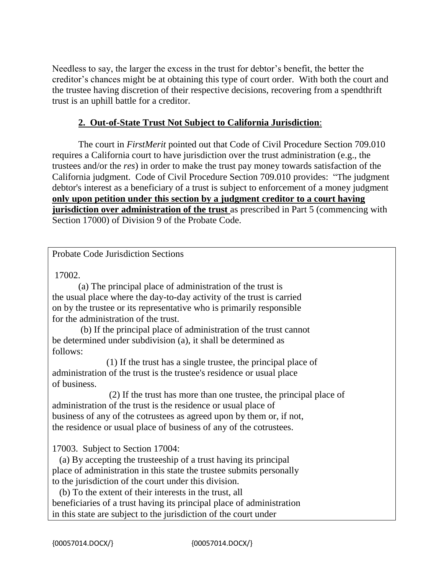Needless to say, the larger the excess in the trust for debtor's benefit, the better the creditor's chances might be at obtaining this type of court order. With both the court and the trustee having discretion of their respective decisions, recovering from a spendthrift trust is an uphill battle for a creditor.

### **2. Out-of-State Trust Not Subject to California Jurisdiction**:

The court in *FirstMerit* pointed out that Code of Civil Procedure Section 709.010 requires a California court to have jurisdiction over the trust administration (e.g., the trustees and/or the *res*) in order to make the trust pay money towards satisfaction of the California judgment. Code of Civil Procedure Section 709.010 provides: "The judgment debtor's interest as a beneficiary of a trust is subject to enforcement of a money judgment **only upon petition under this section by a judgment creditor to a court having jurisdiction over administration of the trust** as prescribed in Part 5 (commencing with Section 17000) of Division 9 of the Probate Code.

### Probate Code Jurisdiction Sections

17002.

(a) The principal place of administration of the trust is the usual place where the day-to-day activity of the trust is carried on by the trustee or its representative who is primarily responsible for the administration of the trust.

 (b) If the principal place of administration of the trust cannot be determined under subdivision (a), it shall be determined as follows:

 (1) If the trust has a single trustee, the principal place of administration of the trust is the trustee's residence or usual place of business.

 (2) If the trust has more than one trustee, the principal place of administration of the trust is the residence or usual place of business of any of the cotrustees as agreed upon by them or, if not, the residence or usual place of business of any of the cotrustees.

17003. Subject to Section 17004:

 (a) By accepting the trusteeship of a trust having its principal place of administration in this state the trustee submits personally to the jurisdiction of the court under this division.

 (b) To the extent of their interests in the trust, all beneficiaries of a trust having its principal place of administration in this state are subject to the jurisdiction of the court under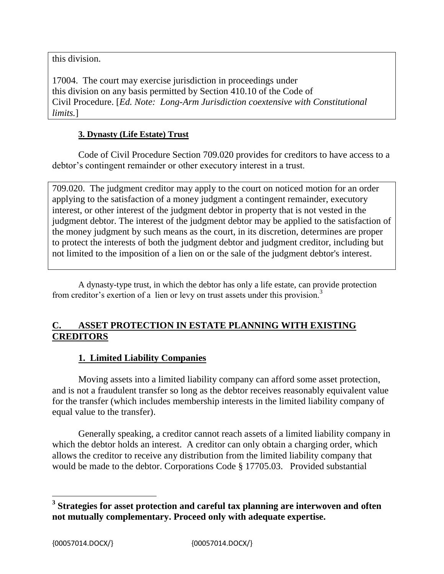this division.

17004. The court may exercise jurisdiction in proceedings under this division on any basis permitted by Section 410.10 of the Code of Civil Procedure. [*Ed. Note: Long-Arm Jurisdiction coextensive with Constitutional limits.*]

### **3. Dynasty (Life Estate) Trust**

Code of Civil Procedure Section 709.020 provides for creditors to have access to a debtor's contingent remainder or other executory interest in a trust.

709.020. The judgment creditor may apply to the court on noticed motion for an order applying to the satisfaction of a money judgment a contingent remainder, executory interest, or other interest of the judgment debtor in property that is not vested in the judgment debtor. The interest of the judgment debtor may be applied to the satisfaction of the money judgment by such means as the court, in its discretion, determines are proper to protect the interests of both the judgment debtor and judgment creditor, including but not limited to the imposition of a lien on or the sale of the judgment debtor's interest.

A dynasty-type trust, in which the debtor has only a life estate, can provide protection from creditor's exertion of a lien or levy on trust assets under this provision.<sup>3</sup>

### **C. ASSET PROTECTION IN ESTATE PLANNING WITH EXISTING CREDITORS**

### **1. Limited Liability Companies**

Moving assets into a limited liability company can afford some asset protection, and is not a fraudulent transfer so long as the debtor receives reasonably equivalent value for the transfer (which includes membership interests in the limited liability company of equal value to the transfer).

Generally speaking, a creditor cannot reach assets of a limited liability company in which the debtor holds an interest. A creditor can only obtain a charging order, which allows the creditor to receive any distribution from the limited liability company that would be made to the debtor. Corporations Code § 17705.03. Provided substantial

 $\overline{\phantom{a}}$ 

**<sup>3</sup> Strategies for asset protection and careful tax planning are interwoven and often not mutually complementary. Proceed only with adequate expertise.**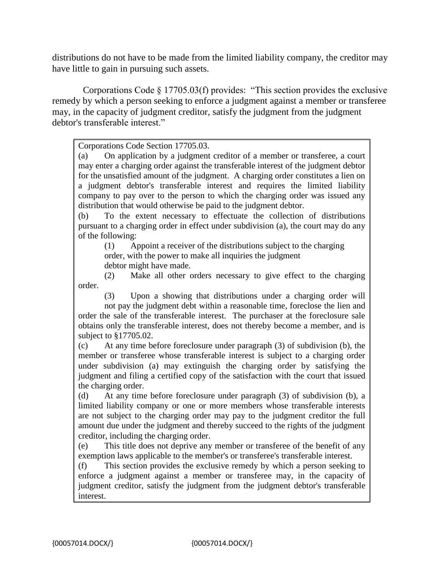distributions do not have to be made from the limited liability company, the creditor may have little to gain in pursuing such assets.

 Corporations Code § 17705.03(f) provides: "This section provides the exclusive remedy by which a person seeking to enforce a judgment against a member or transferee may, in the capacity of judgment creditor, satisfy the judgment from the judgment debtor's transferable interest."

Corporations Code Section 17705.03.

(a) On application by a judgment creditor of a member or transferee, a court may enter a charging order against the transferable interest of the judgment debtor for the unsatisfied amount of the judgment. A charging order constitutes a lien on a judgment debtor's transferable interest and requires the limited liability company to pay over to the person to which the charging order was issued any distribution that would otherwise be paid to the judgment debtor.

(b) To the extent necessary to effectuate the collection of distributions pursuant to a charging order in effect under subdivision (a), the court may do any of the following:

(1) Appoint a receiver of the distributions subject to the charging order, with the power to make all inquiries the judgment debtor might have made.

(2) Make all other orders necessary to give effect to the charging order.

(3) Upon a showing that distributions under a charging order will not pay the judgment debt within a reasonable time, foreclose the lien and order the sale of the transferable interest. The purchaser at the foreclosure sale obtains only the transferable interest, does not thereby become a member, and is subject to §17705.02.

(c) At any time before foreclosure under paragraph (3) of subdivision (b), the member or transferee whose transferable interest is subject to a charging order under subdivision (a) may extinguish the charging order by satisfying the judgment and filing a certified copy of the satisfaction with the court that issued the charging order.

(d) At any time before foreclosure under paragraph (3) of subdivision (b), a limited liability company or one or more members whose transferable interests are not subject to the charging order may pay to the judgment creditor the full amount due under the judgment and thereby succeed to the rights of the judgment creditor, including the charging order.

(e) This title does not deprive any member or transferee of the benefit of any exemption laws applicable to the member's or transferee's transferable interest.

(f) This section provides the exclusive remedy by which a person seeking to enforce a judgment against a member or transferee may, in the capacity of judgment creditor, satisfy the judgment from the judgment debtor's transferable interest.